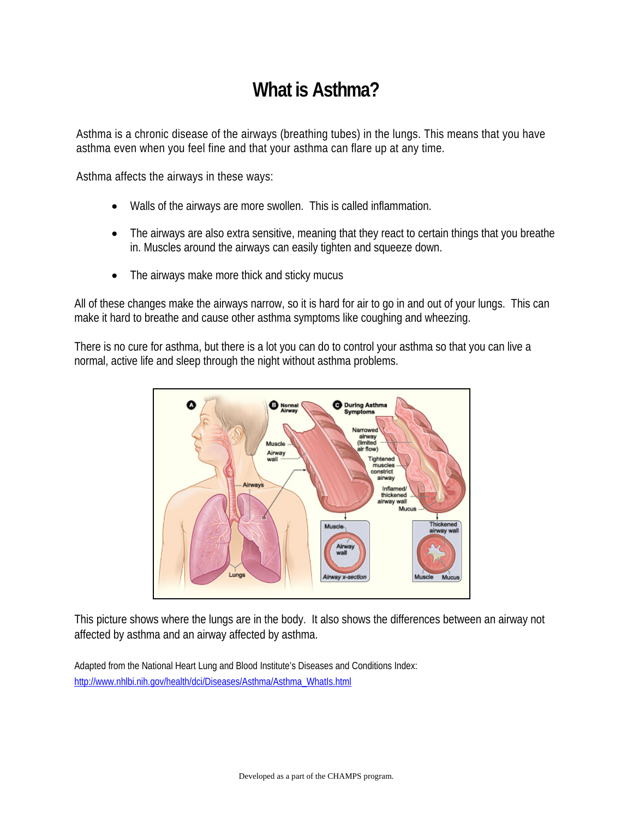# **What is Asthma?**

Asthma is a chronic disease of the airways (breathing tubes) in the lungs. This means that you have asthma even when you feel fine and that your asthma can flare up at any time.

Asthma affects the airways in these ways:

- Walls of the airways are more swollen. This is called inflammation.
- The airways are also extra sensitive, meaning that they react to certain things that you breathe in. Muscles around the airways can easily tighten and squeeze down.
- The airways make more thick and sticky mucus

All of these changes make the airways narrow, so it is hard for air to go in and out of your lungs. This can make it hard to breathe and cause other asthma symptoms like coughing and wheezing.

There is no cure for asthma, but there is a lot you can do to control your asthma so that you can live a normal, active life and sleep through the night without asthma problems.



This picture shows where the lungs are in the body. It also shows the differences between an airway not affected by asthma and an airway affected by asthma.

Adapted from the National Heart Lung and Blood Institute's Diseases and Conditions Index: http://www.nhlbi.nih.gov/health/dci/Diseases/Asthma/Asthma\_WhatIs.html